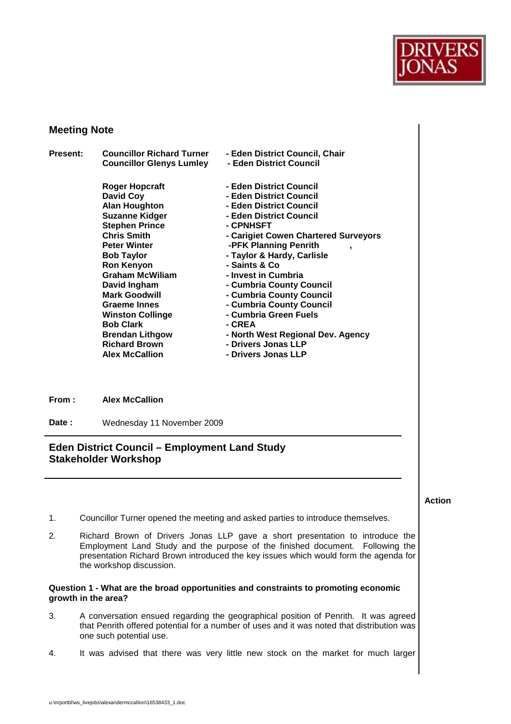

# **Meeting Note**

| <b>Present:</b> | <b>Councillor Richard Turner</b> | - Eden District Council, Chair       |
|-----------------|----------------------------------|--------------------------------------|
|                 | <b>Councillor Glenys Lumley</b>  | - Eden District Council              |
|                 | <b>Roger Hopcraft</b>            | - Eden District Council              |
|                 | David Coy                        | - Eden District Council              |
|                 | <b>Alan Houghton</b>             | - Eden District Council              |
|                 | <b>Suzanne Kidger</b>            | - Eden District Council              |
|                 | <b>Stephen Prince</b>            | - CPNHSFT                            |
|                 | <b>Chris Smith</b>               | - Carigiet Cowen Chartered Surveyors |
|                 | <b>Peter Winter</b>              | -PFK Planning Penrith                |
|                 | <b>Bob Taylor</b>                | - Taylor & Hardy, Carlisle           |
|                 | <b>Ron Kenyon</b>                | - Saints & Co                        |
|                 | <b>Graham McWilliam</b>          | - Invest in Cumbria                  |
|                 | David Ingham                     | - Cumbria County Council             |
|                 | <b>Mark Goodwill</b>             | - Cumbria County Council             |
|                 | <b>Graeme Innes</b>              | - Cumbria County Council             |
|                 | <b>Winston Collinge</b>          | - Cumbria Green Fuels                |
|                 | <b>Bob Clark</b>                 | - CREA                               |
|                 | <b>Brendan Lithgow</b>           | - North West Regional Dev. Agency    |
|                 | <b>Richard Brown</b>             | - Drivers Jonas LLP                  |
|                 | <b>Alex McCallion</b>            | - Drivers Jonas LLP                  |
|                 |                                  |                                      |
|                 |                                  |                                      |

**From : Alex McCallion** 

Date : Wednesday 11 November 2009

# **Eden District Council – Employment Land Study Stakeholder Workshop**

**Action** 

- 1. Councillor Turner opened the meeting and asked parties to introduce themselves.
- 2. Richard Brown of Drivers Jonas LLP gave a short presentation to introduce the Employment Land Study and the purpose of the finished document. Following the presentation Richard Brown introduced the key issues which would form the agenda for the workshop discussion.

# **Question 1 - What are the broad opportunities and constraints to promoting economic growth in the area?**

- 3. A conversation ensued regarding the geographical position of Penrith. It was agreed that Penrith offered potential for a number of uses and it was noted that distribution was one such potential use.
- 4. It was advised that there was very little new stock on the market for much larger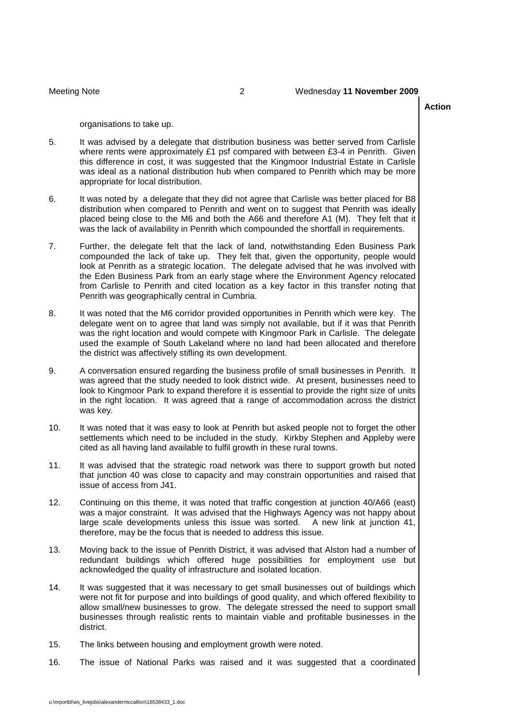## **Action**

organisations to take up.

- 5. It was advised by a delegate that distribution business was better served from Carlisle where rents were approximately £1 psf compared with between £3-4 in Penrith. Given this difference in cost, it was suggested that the Kingmoor Industrial Estate in Carlisle was ideal as a national distribution hub when compared to Penrith which may be more appropriate for local distribution.
- 6. It was noted by a delegate that they did not agree that Carlisle was better placed for B8 distribution when compared to Penrith and went on to suggest that Penrith was ideally placed being close to the M6 and both the A66 and therefore A1 (M). They felt that it was the lack of availability in Penrith which compounded the shortfall in requirements.
- 7. Further, the delegate felt that the lack of land, notwithstanding Eden Business Park compounded the lack of take up. They felt that, given the opportunity, people would look at Penrith as a strategic location. The delegate advised that he was involved with the Eden Business Park from an early stage where the Environment Agency relocated from Carlisle to Penrith and cited location as a key factor in this transfer noting that Penrith was geographically central in Cumbria.
- 8. It was noted that the M6 corridor provided opportunities in Penrith which were key. The delegate went on to agree that land was simply not available, but if it was that Penrith was the right location and would compete with Kingmoor Park in Carlisle. The delegate used the example of South Lakeland where no land had been allocated and therefore the district was affectively stifling its own development.
- 9. A conversation ensured regarding the business profile of small businesses in Penrith. It was agreed that the study needed to look district wide. At present, businesses need to look to Kingmoor Park to expand therefore it is essential to provide the right size of units in the right location. It was agreed that a range of accommodation across the district was key.
- 10. It was noted that it was easy to look at Penrith but asked people not to forget the other settlements which need to be included in the study. Kirkby Stephen and Appleby were cited as all having land available to fulfil growth in these rural towns.
- 11. It was advised that the strategic road network was there to support growth but noted that junction 40 was close to capacity and may constrain opportunities and raised that issue of access from J41.
- 12. Continuing on this theme, it was noted that traffic congestion at junction 40/A66 (east) was a major constraint. It was advised that the Highways Agency was not happy about large scale developments unless this issue was sorted. A new link at junction 41, therefore, may be the focus that is needed to address this issue.
- 13. Moving back to the issue of Penrith District, it was advised that Alston had a number of redundant buildings which offered huge possibilities for employment use but acknowledged the quality of infrastructure and isolated location.
- 14. It was suggested that it was necessary to get small businesses out of buildings which were not fit for purpose and into buildings of good quality, and which offered flexibility to allow small/new businesses to grow. The delegate stressed the need to support small businesses through realistic rents to maintain viable and profitable businesses in the district.
- 15. The links between housing and employment growth were noted.
- 16. The issue of National Parks was raised and it was suggested that a coordinated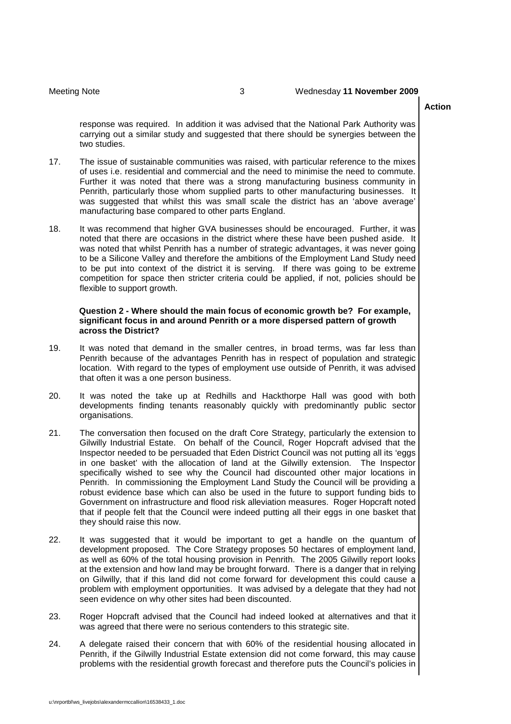## Meeting Note 3 Wednesday **11 November 2009**

### **Action**

 response was required. In addition it was advised that the National Park Authority was carrying out a similar study and suggested that there should be synergies between the two studies.

- 17. The issue of sustainable communities was raised, with particular reference to the mixes of uses i.e. residential and commercial and the need to minimise the need to commute. Further it was noted that there was a strong manufacturing business community in Penrith, particularly those whom supplied parts to other manufacturing businesses. It was suggested that whilst this was small scale the district has an 'above average' manufacturing base compared to other parts England.
- 18. It was recommend that higher GVA businesses should be encouraged. Further, it was noted that there are occasions in the district where these have been pushed aside. It was noted that whilst Penrith has a number of strategic advantages, it was never going to be a Silicone Valley and therefore the ambitions of the Employment Land Study need to be put into context of the district it is serving. If there was going to be extreme competition for space then stricter criteria could be applied, if not, policies should be flexible to support growth.

# **Question 2 - Where should the main focus of economic growth be? For example, significant focus in and around Penrith or a more dispersed pattern of growth across the District?**

- 19. It was noted that demand in the smaller centres, in broad terms, was far less than Penrith because of the advantages Penrith has in respect of population and strategic location. With regard to the types of employment use outside of Penrith, it was advised that often it was a one person business.
- 20. It was noted the take up at Redhills and Hackthorpe Hall was good with both developments finding tenants reasonably quickly with predominantly public sector organisations.
- 21. The conversation then focused on the draft Core Strategy, particularly the extension to Gilwilly Industrial Estate. On behalf of the Council, Roger Hopcraft advised that the Inspector needed to be persuaded that Eden District Council was not putting all its 'eggs in one basket' with the allocation of land at the Gilwilly extension. The Inspector specifically wished to see why the Council had discounted other major locations in Penrith. In commissioning the Employment Land Study the Council will be providing a robust evidence base which can also be used in the future to support funding bids to that if people felt that the Council were indeed putting all their eggs in one basket that Government on infrastructure and flood risk alleviation measures. Roger Hopcraft noted they should raise this now.
- 22. It was suggested that it would be important to get a handle on the quantum of development proposed. The Core Strategy proposes 50 hectares of employment land, as well as 60% of the total housing provision in Penrith. The 2005 Gilwilly report looks at the extension and how land may be brought forward. There is a danger that in relying on Gilwilly, that if this land did not come forward for development this could cause a problem with employment opportunities. It was advised by a delegate that they had not seen evidence on why other sites had been discounted.
- 23. Roger Hopcraft advised that the Council had indeed looked at alternatives and that it was agreed that there were no serious contenders to this strategic site.
- 24. A delegate raised their concern that with 60% of the residential housing allocated in Penrith, if the Gilwilly Industrial Estate extension did not come forward, this may cause problems with the residential growth forecast and therefore puts the Council's policies in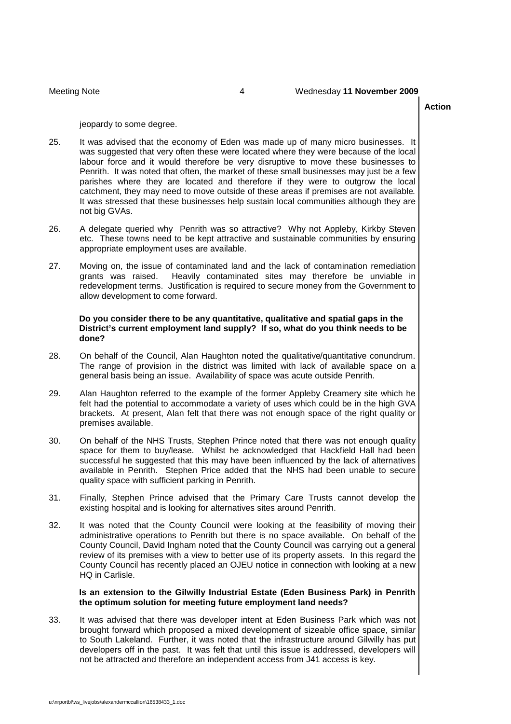### **Action**

jeopardy to some degree.

- 25. It was advised that the economy of Eden was made up of many micro businesses. It was suggested that very often these were located where they were because of the local labour force and it would therefore be very disruptive to move these businesses to Penrith. It was noted that often, the market of these small businesses may just be a few parishes where they are located and therefore if they were to outgrow the local catchment, they may need to move outside of these areas if premises are not available. It was stressed that these businesses help sustain local communities although they are not big GVAs.
- 26. A delegate queried why Penrith was so attractive? Why not Appleby, Kirkby Steven etc. These towns need to be kept attractive and sustainable communities by ensuring appropriate employment uses are available.
- 27. Moving on, the issue of contaminated land and the lack of contamination remediation grants was raised. redevelopment terms. Justification is required to secure money from the Government to Heavily contaminated sites may therefore be unviable in allow development to come forward.

# **Do you consider there to be any quantitative, qualitative and spatial gaps in the District's current employment land supply? If so, what do you think needs to be done?**

- 28. On behalf of the Council, Alan Haughton noted the qualitative/quantitative conundrum. The range of provision in the district was limited with lack of available space on a general basis being an issue. Availability of space was acute outside Penrith.
- 29. Alan Haughton referred to the example of the former Appleby Creamery site which he felt had the potential to accommodate a variety of uses which could be in the high GVA brackets. At present, Alan felt that there was not enough space of the right quality or premises available.
- premises available.<br>30. On behalf of the NHS Trusts, Stephen Prince noted that there was not enough quality space for them to buy/lease. Whilst he acknowledged that Hackfield Hall had been successful he suggested that this may have been influenced by the lack of alternatives available in Penrith. Stephen Price added that the NHS had been unable to secure quality space with sufficient parking in Penrith.
- 31. Finally, Stephen Prince advised that the Primary Care Trusts cannot develop the existing hospital and is looking for alternatives sites around Penrith.
- 32. It was noted that the County Council were looking at the feasibility of moving their administrative operations to Penrith but there is no space available. On behalf of the County Council, David Ingham noted that the County Council was carrying out a general review of its premises with a view to better use of its property assets. In this regard the County Council has recently placed an OJEU notice in connection with looking at a new HQ in Carlisle.

# **Is an extension to the Gilwilly Industrial Estate (Eden Business Park) in Penrith the optimum solution for meeting future employment land needs?**

 33. It was advised that there was developer intent at Eden Business Park which was not brought forward which proposed a mixed development of sizeable office space, similar to South Lakeland. Further, it was noted that the infrastructure around Gilwilly has put developers off in the past. It was felt that until this issue is addressed, developers will not be attracted and therefore an independent access from J41 access is key.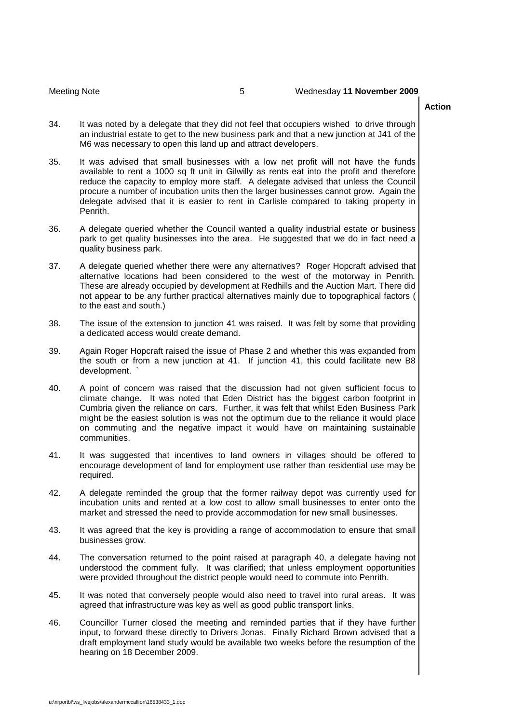### Meeting Note 5 Wednesday **11 November 2009**

### **Action**

- 34. It was noted by a delegate that they did not feel that occupiers wished to drive through an industrial estate to get to the new business park and that a new junction at J41 of the M6 was necessary to open this land up and attract developers.
- 35. It was advised that small businesses with a low net profit will not have the funds available to rent a 1000 sq ft unit in Gilwilly as rents eat into the profit and therefore reduce the capacity to employ more staff. A delegate advised that unless the Council procure a number of incubation units then the larger businesses cannot grow. Again the delegate advised that it is easier to rent in Carlisle compared to taking property in Penrith.
- 36. A delegate queried whether the Council wanted a quality industrial estate or business park to get quality businesses into the area. He suggested that we do in fact need a quality business park.
- 37. A delegate queried whether there were any alternatives? Roger Hopcraft advised that alternative locations had been considered to the west of the motorway in Penrith. These are already occupied by development at Redhills and the Auction Mart. There did not appear to be any further practical alternatives mainly due to topographical factors ( to the east and south.)
- 38. The issue of the extension to junction 41 was raised. It was felt by some that providing a dedicated access would create demand.
- 39. Again Roger Hopcraft raised the issue of Phase 2 and whether this was expanded from the south or from a new junction at 41. If junction 41, this could facilitate new B8 development. `
- 40. A point of concern was raised that the discussion had not given sufficient focus to climate change. It was noted that Eden District has the biggest carbon footprint in Cumbria given the reliance on cars. Further, it was felt that whilst Eden Business Park might be the easiest solution is was not the optimum due to the reliance it would place on commuting and the negative impact it would have on maintaining sustainable communities.
- 41. It was suggested that incentives to land owners in villages should be offered to encourage development of land for employment use rather than residential use may be required.
- 42. A delegate reminded the group that the former railway depot was currently used for incubation units and rented at a low cost to allow small businesses to enter onto the market and stressed the need to provide accommodation for new small businesses.
- 43. It was agreed that the key is providing a range of accommodation to ensure that small businesses grow.
- 44. The conversation returned to the point raised at paragraph 40, a delegate having not understood the comment fully. It was clarified; that unless employment opportunities were provided throughout the district people would need to commute into Penrith.
- 45. It was noted that conversely people would also need to travel into rural areas. It was agreed that infrastructure was key as well as good public transport links.
- 46. Councillor Turner closed the meeting and reminded parties that if they have further input, to forward these directly to Drivers Jonas. Finally Richard Brown advised that a draft employment land study would be available two weeks before the resumption of the hearing on 18 December 2009.

u:\nrportbl\ws\_livejobs\alexandermccallion\16538433\_1.doc